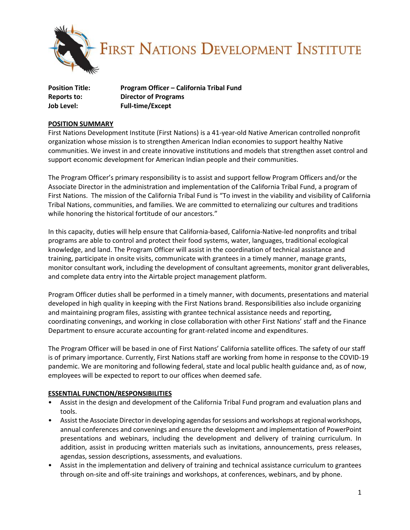

| <b>Position Title:</b> | Program Officer - California Tribal Fund |
|------------------------|------------------------------------------|
| Reports to:            | <b>Director of Programs</b>              |
| Job Level:             | <b>Full-time/Except</b>                  |

### **POSITION SUMMARY**

First Nations Development Institute (First Nations) is a 41-year-old Native American controlled nonprofit organization whose mission is to strengthen American Indian economies to support healthy Native communities. We invest in and create innovative institutions and models that strengthen asset control and support economic development for American Indian people and their communities.

The Program Officer's primary responsibility is to assist and support fellow Program Officers and/or the Associate Director in the administration and implementation of the California Tribal Fund, a program of First Nations. The mission of the California Tribal Fund is "To invest in the viability and visibility of California Tribal Nations, communities, and families. We are committed to eternalizing our cultures and traditions while honoring the historical fortitude of our ancestors."

In this capacity, duties will help ensure that California-based, California-Native-led nonprofits and tribal programs are able to control and protect their food systems, water, languages, traditional ecological knowledge, and land. The Program Officer will assist in the coordination of technical assistance and training, participate in onsite visits, communicate with grantees in a timely manner, manage grants, monitor consultant work, including the development of consultant agreements, monitor grant deliverables, and complete data entry into the Airtable project management platform.

Program Officer duties shall be performed in a timely manner, with documents, presentations and material developed in high quality in keeping with the First Nations brand. Responsibilities also include organizing and maintaining program files, assisting with grantee technical assistance needs and reporting, coordinating convenings, and working in close collaboration with other First Nations' staff and the Finance Department to ensure accurate accounting for grant-related income and expenditures.

The Program Officer will be based in one of First Nations' California satellite offices. The safety of our staff is of primary importance. Currently, First Nations staff are working from home in response to the COVID-19 pandemic. We are monitoring and following federal, state and local public health guidance and, as of now, employees will be expected to report to our offices when deemed safe.

## **ESSENTIAL FUNCTION/RESPONSIBILITIES**

- Assist in the design and development of the California Tribal Fund program and evaluation plans and tools.
- Assist the Associate Director in developing agendas for sessions and workshops at regional workshops, annual conferences and convenings and ensure the development and implementation of PowerPoint presentations and webinars, including the development and delivery of training curriculum. In addition, assist in producing written materials such as invitations, announcements, press releases, agendas, session descriptions, assessments, and evaluations.
- Assist in the implementation and delivery of training and technical assistance curriculum to grantees through on-site and off-site trainings and workshops, at conferences, webinars, and by phone.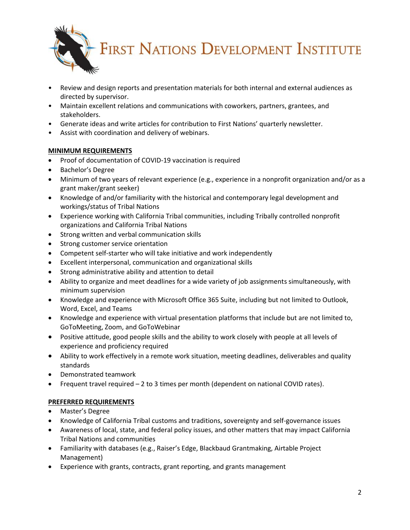**FIRST NATIONS DEVELOPMENT INSTITUTE** 

- Review and design reports and presentation materials for both internal and external audiences as directed by supervisor.
- Maintain excellent relations and communications with coworkers, partners, grantees, and stakeholders.
- Generate ideas and write articles for contribution to First Nations' quarterly newsletter.
- Assist with coordination and delivery of webinars.

## **MINIMUM REQUIREMENTS**

- Proof of documentation of COVID-19 vaccination is required
- Bachelor's Degree
- Minimum of two years of relevant experience (e.g., experience in a nonprofit organization and/or as a grant maker/grant seeker)
- Knowledge of and/or familiarity with the historical and contemporary legal development and workings/status of Tribal Nations
- Experience working with California Tribal communities, including Tribally controlled nonprofit organizations and California Tribal Nations
- Strong written and verbal communication skills
- Strong customer service orientation
- Competent self-starter who will take initiative and work independently
- Excellent interpersonal, communication and organizational skills
- Strong administrative ability and attention to detail
- Ability to organize and meet deadlines for a wide variety of job assignments simultaneously, with minimum supervision
- Knowledge and experience with Microsoft Office 365 Suite, including but not limited to Outlook, Word, Excel, and Teams
- Knowledge and experience with virtual presentation platforms that include but are not limited to, GoToMeeting, Zoom, and GoToWebinar
- Positive attitude, good people skills and the ability to work closely with people at all levels of experience and proficiency required
- Ability to work effectively in a remote work situation, meeting deadlines, deliverables and quality standards
- Demonstrated teamwork
- Frequent travel required 2 to 3 times per month (dependent on national COVID rates).

# **PREFERRED REQUIREMENTS**

- Master's Degree
- Knowledge of California Tribal customs and traditions, sovereignty and self-governance issues
- Awareness of local, state, and federal policy issues, and other matters that may impact California Tribal Nations and communities
- Familiarity with databases (e.g., Raiser's Edge, Blackbaud Grantmaking, Airtable Project Management)
- Experience with grants, contracts, grant reporting, and grants management